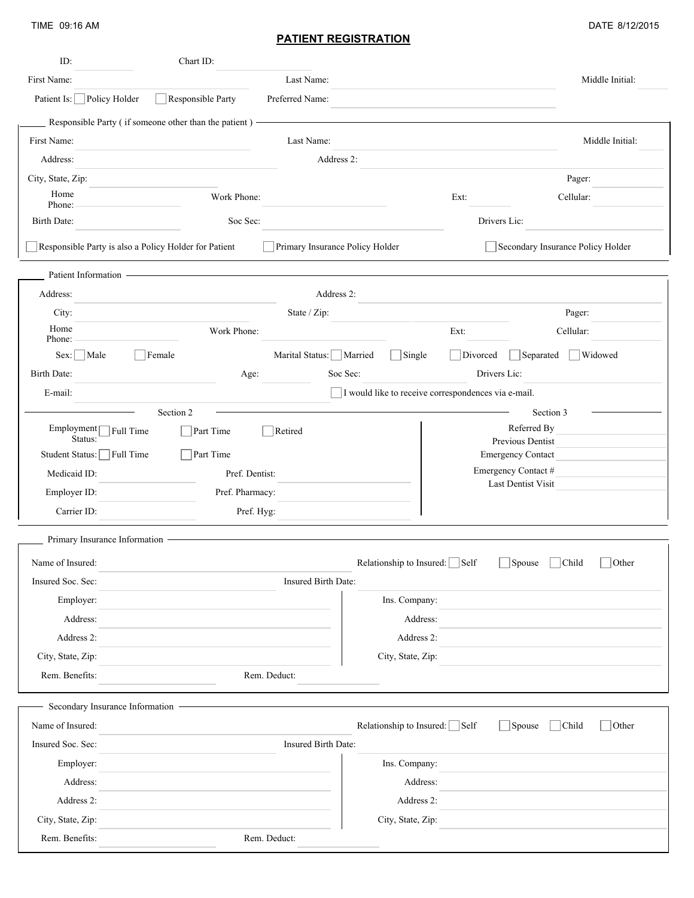TIME 09:16 AM

## **PATIENT REGISTRATION**

|  | DATE 8/12/2015 |
|--|----------------|
|--|----------------|

| ID:                            | Chart ID:                                                                                                             |                                                                      |                 |
|--------------------------------|-----------------------------------------------------------------------------------------------------------------------|----------------------------------------------------------------------|-----------------|
| First Name:                    | Last Name:                                                                                                            |                                                                      | Middle Initial: |
| Patient Is: Policy Holder      | Preferred Name:<br>Responsible Party                                                                                  |                                                                      |                 |
|                                | Responsible Party (if someone other than the patient) -                                                               |                                                                      |                 |
| First Name:                    | Last Name:                                                                                                            |                                                                      | Middle Initial: |
| Address:                       |                                                                                                                       | Address 2:                                                           |                 |
| City, State, Zip:              |                                                                                                                       | Pager:                                                               |                 |
| Home<br>Phone:                 | Work Phone:                                                                                                           | Ext:<br>Cellular:                                                    |                 |
| Birth Date:                    | Soc Sec:                                                                                                              | Drivers Lic:                                                         |                 |
|                                | Responsible Party is also a Policy Holder for Patient                                                                 | Primary Insurance Policy Holder<br>Secondary Insurance Policy Holder |                 |
| Patient Information -          | <u> 1989 - Johann Harry Harry Harry Harry Harry Harry Harry Harry Harry Harry Harry Harry Harry Harry Harry Harry</u> |                                                                      |                 |
| Address:                       |                                                                                                                       | Address 2:                                                           |                 |
| City:                          | State / Zip:                                                                                                          | Pager:                                                               |                 |
| Home<br>Phone:                 | Work Phone:                                                                                                           | Cellular:<br>Ext:                                                    |                 |
| $Sex:$ Male                    | Marital Status: Married<br>Female                                                                                     | $\Box$ Single<br>Divorced<br>Separated                               | Widowed         |
| Birth Date:                    | Age:                                                                                                                  | Soc Sec:<br>Drivers Lic:                                             |                 |
| E-mail:                        |                                                                                                                       | □ I would like to receive correspondences via e-mail.                |                 |
|                                | Section 2                                                                                                             | Section 3                                                            |                 |
| Employment $\sqcap$<br>Status: | Full Time<br>Part Time<br>Retired                                                                                     | Referred By                                                          |                 |
| Student Status: Full Time      | Part Time                                                                                                             | Previous Dentist<br><b>Emergency Contact</b>                         |                 |
| Medicaid ID:                   | Pref. Dentist:                                                                                                        | Emergency Contact #                                                  |                 |
| Employer ID:                   | Pref. Pharmacy:                                                                                                       | Last Dentist Visit                                                   |                 |
| Carrier ID:                    | Pref. Hyg:                                                                                                            |                                                                      |                 |
| Primary Insurance Information  |                                                                                                                       |                                                                      |                 |
| Name of Insured:               |                                                                                                                       | Relationship to Insured: Self<br>$\Box$ Spouse $\Box$ Child          | $\Box$ Other    |
| Insured Soc. Sec:              | Insured Birth Date:                                                                                                   |                                                                      |                 |
| Employer:                      |                                                                                                                       | Ins. Company:                                                        |                 |
| Address:                       |                                                                                                                       | Address:                                                             |                 |
| Address 2:                     |                                                                                                                       | Address 2:                                                           |                 |
| City, State, Zip:              |                                                                                                                       | City, State, Zip:                                                    |                 |
| Rem. Benefits:                 | Rem. Deduct:                                                                                                          |                                                                      |                 |
|                                | Secondary Insurance Information                                                                                       |                                                                      |                 |
| Name of Insured:               |                                                                                                                       | Relationship to Insured: $\Box$ Self<br>Spouse<br>Child              | Other           |
| Insured Soc. Sec:              | Insured Birth Date:                                                                                                   |                                                                      |                 |
| Employer:                      |                                                                                                                       | Ins. Company:                                                        |                 |
| Address:                       |                                                                                                                       | Address:                                                             |                 |
| Address 2:                     |                                                                                                                       | Address 2:                                                           |                 |
| City, State, Zip:              |                                                                                                                       | City, State, Zip:                                                    |                 |
| Rem. Benefits:                 | Rem. Deduct:                                                                                                          |                                                                      |                 |
|                                |                                                                                                                       |                                                                      |                 |